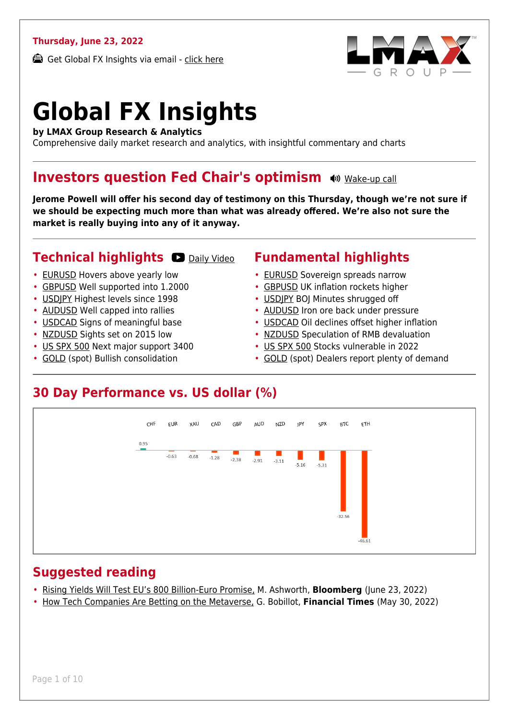#### **Thursday, June 23, 2022**

Get Global FX Insights via email - [click here](https://www.lmax.com/blog/global-fx-insights/sign-up/?src=gfxipdf)



# **Global FX Insights**

**by LMAX Group Research & Analytics**

Comprehensive daily market research and analytics, with insightful commentary and charts

#### **Investors question Fed Chair's optimism**  $\bullet$  **[Wake-up call](https://www.lmax.com/blog/global-fx-insights/2022/06/23/investors-question-fed-chairs-optimism/?utm_source=GlobalFXInsights-Newsletter&utm_medium=Email&utm_campaign=GlobalFXInsights&audio=play#wakeup-53978)**

**Jerome Powell will offer his second day of testimony on this Thursday, though we're not sure if we should be expecting much more than what was already offered. We're also not sure the market is really buying into any of it anyway.**

#### **Technical highlights CO** [Daily Video](https://www.lmax.com/blog/global-fx-insights/2022/06/23/investors-question-fed-chairs-optimism/?utm_source=GlobalFXInsights-Newsletter&utm_medium=Email&utm_campaign=GlobalFXInsights&popup=watch#charttalk-53978)

- [EURUSD](#page-1-0) Hovers above yearly low
- [GBPUSD](#page-2-0) Well supported into 1.2000
- [USDJPY](#page-3-0) Highest levels since 1998
- [AUDUSD](#page-4-0) Well capped into rallies
- [USDCAD](#page-5-0) Signs of meaningful base
- [NZDUSD](#page-6-0) Sights set on 2015 low
- [US SPX 500](#page-7-0) Next major support 3400
- [GOLD](#page-8-0) (spot) Bullish consolidation

#### **Fundamental highlights**

- [EURUSD](#page-1-1) Sovereign spreads narrow
- [GBPUSD](#page-2-1) UK inflation rockets higher
- [USDJPY](#page-3-1) BOJ Minutes shrugged off
- [AUDUSD](#page-4-1) Iron ore back under pressure
- [USDCAD](#page-5-1) Oil declines offset higher inflation
- [NZDUSD](#page-6-1) Speculation of RMB devaluation
- [US SPX 500](#page-7-1) Stocks vulnerable in 2022
- [GOLD](#page-8-1) (spot) Dealers report plenty of demand

#### **30 Day Performance vs. US dollar (%)**



#### **Suggested reading**

- [Rising Yields Will Test EU's 800 Billion-Euro Promise,](https://www.lmax.com/blog/global-fx-insights/2022/06/23/investors-question-fed-chairs-optimism/?read=https://www.bloomberg.com/opinion/articles/2022-06-23/rising-yields-will-test-eu-s-800-billion-euro-nextgen-covid-support?srnd=opinion-markets) M. Ashworth, **Bloomberg** (June 23, 2022)
- [How Tech Companies Are Betting on the Metaverse,](https://www.lmax.com/blog/global-fx-insights/2022/06/23/investors-question-fed-chairs-optimism/?read=https://www.ft.com/video/6b8420bb-13f2-4c15-8a0c-6a0eb84f0860?playlist-name=editors-picks&playlist-offset=2) G. Bobillot, **Financial Times** (May 30, 2022)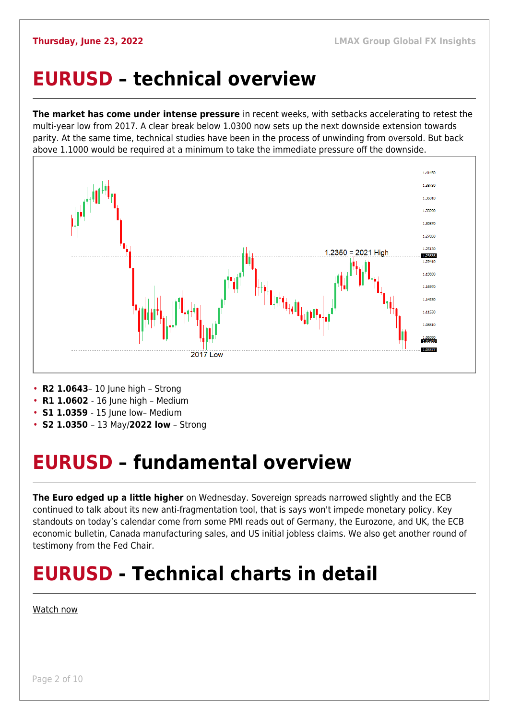### <span id="page-1-0"></span>**EURUSD – technical overview**

**The market has come under intense pressure** in recent weeks, with setbacks accelerating to retest the multi-year low from 2017. A clear break below 1.0300 now sets up the next downside extension towards parity. At the same time, technical studies have been in the process of unwinding from oversold. But back above 1.1000 would be required at a minimum to take the immediate pressure off the downside.



- **R2 1.0643** 10 June high Strong
- **R1 1.0602** 16 June high Medium
- **S1 1.0359**  15 June low– Medium
- **S2 1.0350**  13 May/**2022 low** Strong

## <span id="page-1-1"></span>**EURUSD – fundamental overview**

**The Euro edged up a little higher** on Wednesday. Sovereign spreads narrowed slightly and the ECB continued to talk about its new anti-fragmentation tool, that is says won't impede monetary policy. Key standouts on today's calendar come from some PMI reads out of Germany, the Eurozone, and UK, the ECB economic bulletin, Canada manufacturing sales, and US initial jobless claims. We also get another round of testimony from the Fed Chair.

## **EURUSD - Technical charts in detail**

#### [Watch now](https://youtu.be/1s_gNAwnbnA)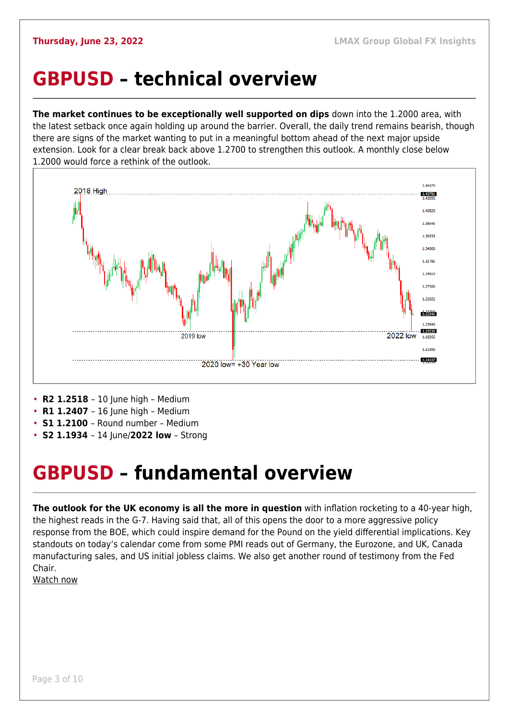#### <span id="page-2-0"></span>**GBPUSD – technical overview**

**The market continues to be exceptionally well supported on dips** down into the 1.2000 area, with the latest setback once again holding up around the barrier. Overall, the daily trend remains bearish, though there are signs of the market wanting to put in a meaningful bottom ahead of the next major upside extension. Look for a clear break back above 1.2700 to strengthen this outlook. A monthly close below 1.2000 would force a rethink of the outlook.



- **R2 1.2518**  10 June high Medium
- **R1 1.2407** 16 June high Medium
- **S1 1.2100**  Round number Medium
- **S2 1.1934**  14 June/**2022 low** Strong

#### <span id="page-2-1"></span>**GBPUSD – fundamental overview**

**The outlook for the UK economy is all the more in question** with inflation rocketing to a 40-year high, the highest reads in the G-7. Having said that, all of this opens the door to a more aggressive policy response from the BOE, which could inspire demand for the Pound on the yield differential implications. Key standouts on today's calendar come from some PMI reads out of Germany, the Eurozone, and UK, Canada manufacturing sales, and US initial jobless claims. We also get another round of testimony from the Fed Chair.

[Watch now](https://youtu.be/GxHVYmz0ISI)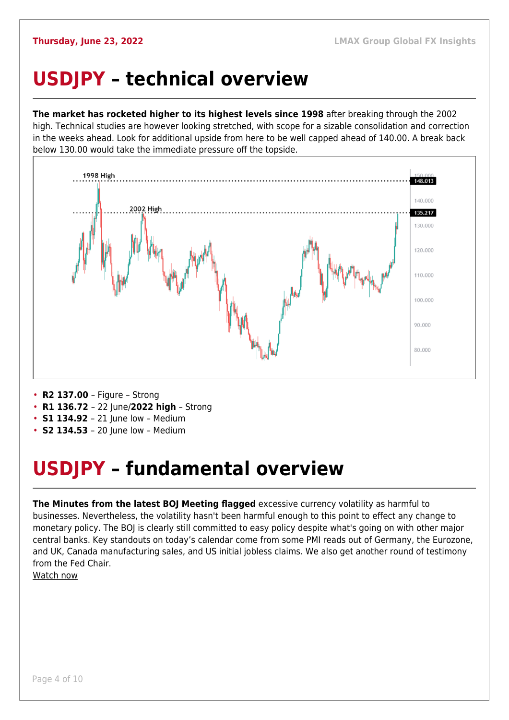## <span id="page-3-0"></span>**USDJPY – technical overview**

**The market has rocketed higher to its highest levels since 1998** after breaking through the 2002 high. Technical studies are however looking stretched, with scope for a sizable consolidation and correction in the weeks ahead. Look for additional upside from here to be well capped ahead of 140.00. A break back below 130.00 would take the immediate pressure off the topside.



- **R2 137.00**  Figure Strong
- **R1 136.72**  22 June/**2022 high** Strong
- **S1 134.92** 21 June low Medium
- **S2 134.53**  20 June low Medium

## <span id="page-3-1"></span>**USDJPY – fundamental overview**

**The Minutes from the latest BOJ Meeting flagged** excessive currency volatility as harmful to businesses. Nevertheless, the volatility hasn't been harmful enough to this point to effect any change to monetary policy. The BOJ is clearly still committed to easy policy despite what's going on with other major central banks. Key standouts on today's calendar come from some PMI reads out of Germany, the Eurozone, and UK, Canada manufacturing sales, and US initial jobless claims. We also get another round of testimony from the Fed Chair.

[Watch now](https://youtu.be/5iw8z8kH8EU)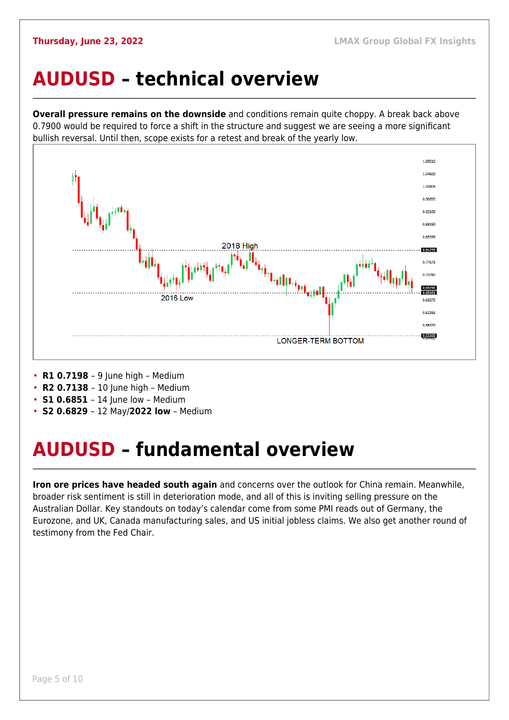### <span id="page-4-0"></span>**AUDUSD – technical overview**

**Overall pressure remains on the downside** and conditions remain quite choppy. A break back above 0.7900 would be required to force a shift in the structure and suggest we are seeing a more significant bullish reversal. Until then, scope exists for a retest and break of the yearly low.



- **R1 0.7198**  9 June high Medium
- **R2 0.7138**  10 June high Medium
- **S1 0.6851** 14 June low Medium
- **S2 0.6829**  12 May/**2022 low** Medium

## <span id="page-4-1"></span>**AUDUSD – fundamental overview**

**Iron ore prices have headed south again** and concerns over the outlook for China remain. Meanwhile, broader risk sentiment is still in deterioration mode, and all of this is inviting selling pressure on the Australian Dollar. Key standouts on today's calendar come from some PMI reads out of Germany, the Eurozone, and UK, Canada manufacturing sales, and US initial jobless claims. We also get another round of testimony from the Fed Chair.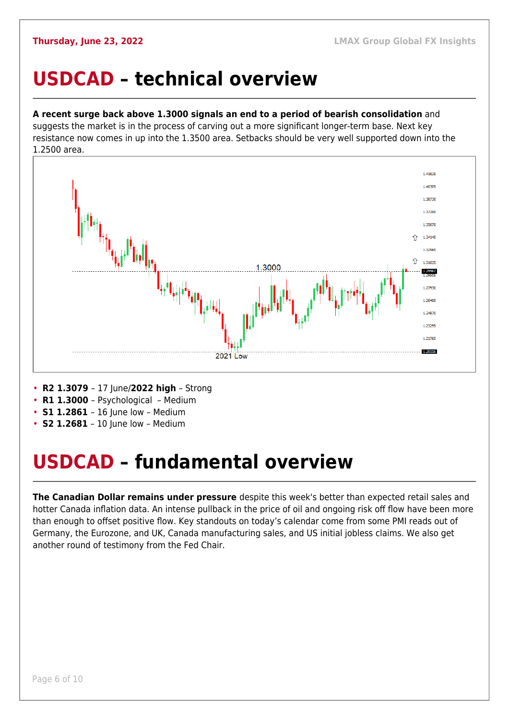#### <span id="page-5-0"></span>**USDCAD – technical overview**

#### **A recent surge back above 1.3000 signals an end to a period of bearish consolidation** and

suggests the market is in the process of carving out a more significant longer-term base. Next key resistance now comes in up into the 1.3500 area. Setbacks should be very well supported down into the 1.2500 area.



- **R2 1.3079**  17 June/**2022 high** Strong
- **R1 1.3000**  Psychological Medium
- **S1 1.2861**  16 June low Medium
- **S2 1.2681** 10 June low Medium

## <span id="page-5-1"></span>**USDCAD – fundamental overview**

**The Canadian Dollar remains under pressure** despite this week's better than expected retail sales and hotter Canada inflation data. An intense pullback in the price of oil and ongoing risk off flow have been more than enough to offset positive flow. Key standouts on today's calendar come from some PMI reads out of Germany, the Eurozone, and UK, Canada manufacturing sales, and US initial jobless claims. We also get another round of testimony from the Fed Chair.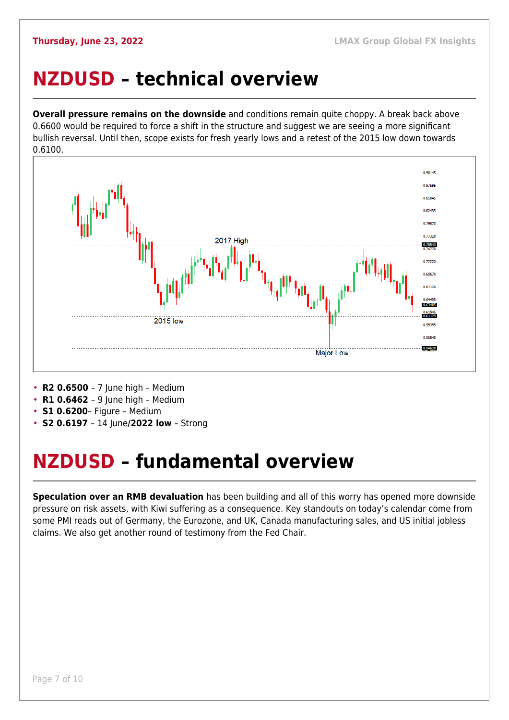### <span id="page-6-0"></span>**NZDUSD – technical overview**

**Overall pressure remains on the downside** and conditions remain quite choppy. A break back above 0.6600 would be required to force a shift in the structure and suggest we are seeing a more significant bullish reversal. Until then, scope exists for fresh yearly lows and a retest of the 2015 low down towards 0.6100.



• **R2 0.6500** – 7 June high – Medium

- **R1 0.6462**  9 June high Medium
- **S1 0.6200** Figure Medium
- **S2 0.6197**  14 June**/2022 low** Strong

## <span id="page-6-1"></span>**NZDUSD – fundamental overview**

**Speculation over an RMB devaluation** has been building and all of this worry has opened more downside pressure on risk assets, with Kiwi suffering as a consequence. Key standouts on today's calendar come from some PMI reads out of Germany, the Eurozone, and UK, Canada manufacturing sales, and US initial jobless claims. We also get another round of testimony from the Fed Chair.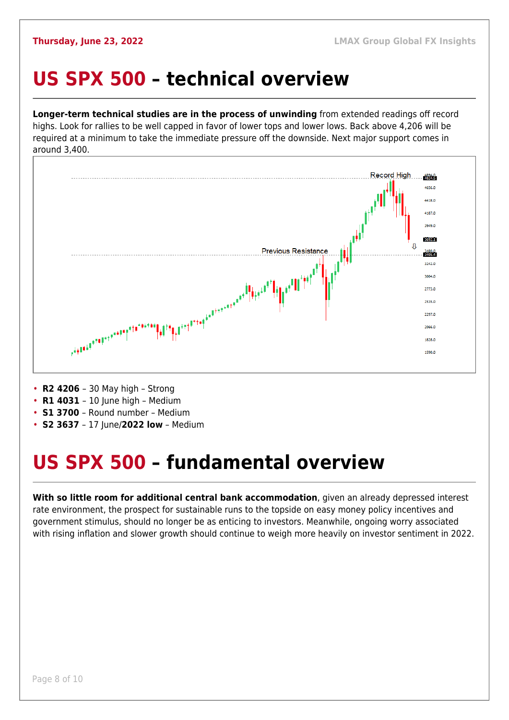#### <span id="page-7-0"></span>**US SPX 500 – technical overview**

**Longer-term technical studies are in the process of unwinding** from extended readings off record highs. Look for rallies to be well capped in favor of lower tops and lower lows. Back above 4,206 will be required at a minimum to take the immediate pressure off the downside. Next major support comes in around 3,400.



- **R2 4206**  30 May high Strong
- **R1 4031** 10 June high Medium
- **S1 3700**  Round number Medium
- **S2 3637**  17 June/**2022 low** Medium

## <span id="page-7-1"></span>**US SPX 500 – fundamental overview**

**With so little room for additional central bank accommodation**, given an already depressed interest rate environment, the prospect for sustainable runs to the topside on easy money policy incentives and government stimulus, should no longer be as enticing to investors. Meanwhile, ongoing worry associated with rising inflation and slower growth should continue to weigh more heavily on investor sentiment in 2022.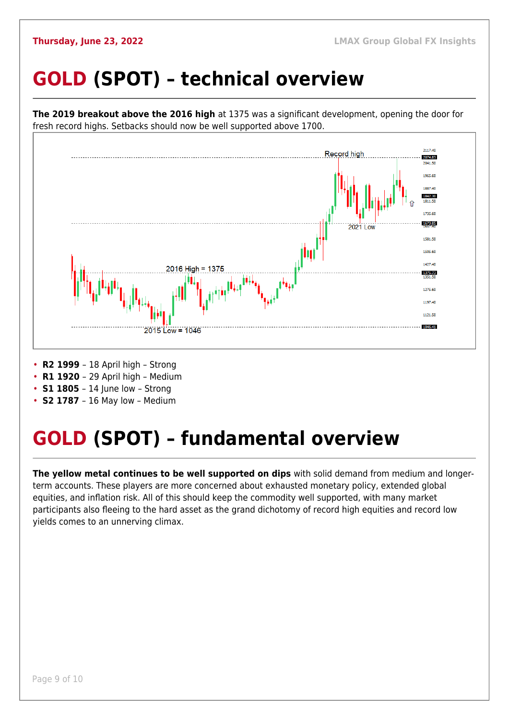## <span id="page-8-0"></span>**GOLD (SPOT) – technical overview**



- **S1 1805** 14 June low Strong
- **S2 1787**  16 May low Medium

## <span id="page-8-1"></span>**GOLD (SPOT) – fundamental overview**

**The yellow metal continues to be well supported on dips** with solid demand from medium and longerterm accounts. These players are more concerned about exhausted monetary policy, extended global equities, and inflation risk. All of this should keep the commodity well supported, with many market participants also fleeing to the hard asset as the grand dichotomy of record high equities and record low yields comes to an unnerving climax.